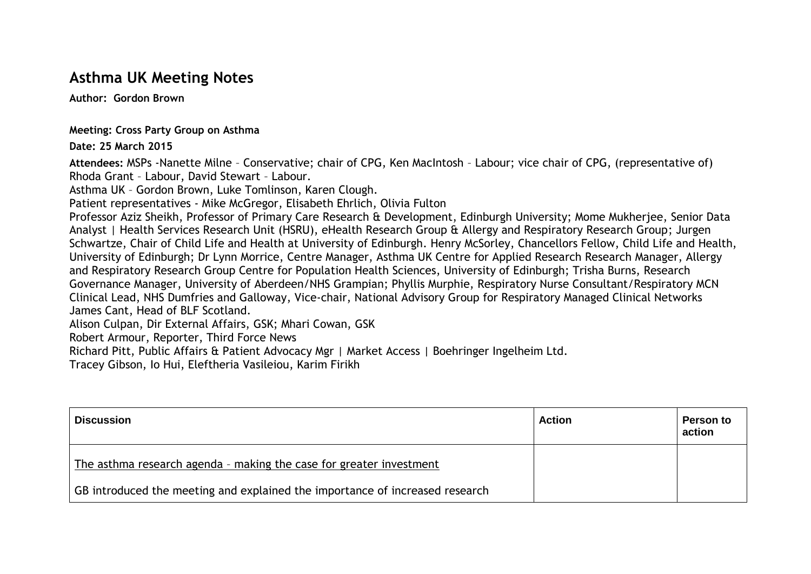## **Asthma UK Meeting Notes**

**Author: Gordon Brown**

**Meeting: Cross Party Group on Asthma**

**Date: 25 March 2015**

**Attendees:** MSPs -Nanette Milne – Conservative; chair of CPG, Ken MacIntosh – Labour; vice chair of CPG, (representative of) Rhoda Grant – Labour, David Stewart – Labour.

Asthma UK – Gordon Brown, Luke Tomlinson, Karen Clough.

Patient representatives - Mike McGregor, Elisabeth Ehrlich, Olivia Fulton

Professor Aziz Sheikh, Professor of Primary Care Research & Development, Edinburgh University; Mome Mukherjee, Senior Data Analyst | Health Services Research Unit (HSRU), eHealth Research Group & Allergy and Respiratory Research Group; Jurgen Schwartze, Chair of Child Life and Health at University of Edinburgh. Henry McSorley, Chancellors Fellow, Child Life and Health, University of Edinburgh; Dr Lynn Morrice, Centre Manager, Asthma UK Centre for Applied Research Research Manager, Allergy and Respiratory Research Group Centre for Population Health Sciences, University of Edinburgh; Trisha Burns, Research Governance Manager, University of Aberdeen/NHS Grampian; Phyllis Murphie, Respiratory Nurse Consultant/Respiratory MCN Clinical Lead, NHS Dumfries and Galloway, Vice-chair, National Advisory Group for Respiratory Managed Clinical Networks James Cant, Head of BLF Scotland.

Alison Culpan, Dir External Affairs, GSK; Mhari Cowan, GSK

Robert Armour, Reporter, Third Force News

Richard Pitt, Public Affairs & Patient Advocacy Mgr | Market Access | Boehringer Ingelheim Ltd.

Tracey Gibson, Io Hui, Eleftheria Vasileiou, Karim Firikh

| <b>Discussion</b>                                                            | <b>Action</b> | <b>Person to</b><br>action |
|------------------------------------------------------------------------------|---------------|----------------------------|
| The asthma research agenda - making the case for greater investment          |               |                            |
| GB introduced the meeting and explained the importance of increased research |               |                            |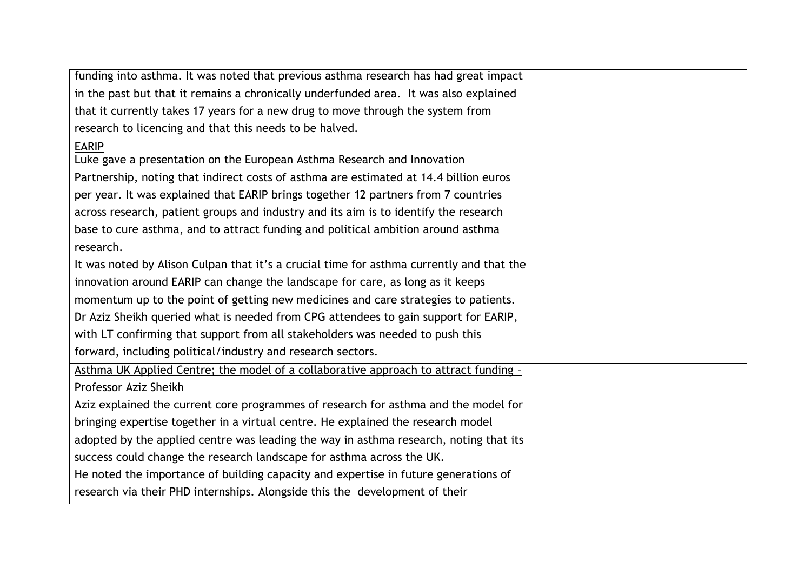| funding into asthma. It was noted that previous asthma research has had great impact     |  |
|------------------------------------------------------------------------------------------|--|
| in the past but that it remains a chronically underfunded area. It was also explained    |  |
| that it currently takes 17 years for a new drug to move through the system from          |  |
| research to licencing and that this needs to be halved.                                  |  |
| <b>EARIP</b>                                                                             |  |
| Luke gave a presentation on the European Asthma Research and Innovation                  |  |
| Partnership, noting that indirect costs of asthma are estimated at 14.4 billion euros    |  |
| per year. It was explained that EARIP brings together 12 partners from 7 countries       |  |
| across research, patient groups and industry and its aim is to identify the research     |  |
| base to cure asthma, and to attract funding and political ambition around asthma         |  |
| research.                                                                                |  |
| It was noted by Alison Culpan that it's a crucial time for asthma currently and that the |  |
| innovation around EARIP can change the landscape for care, as long as it keeps           |  |
| momentum up to the point of getting new medicines and care strategies to patients.       |  |
| Dr Aziz Sheikh queried what is needed from CPG attendees to gain support for EARIP,      |  |
| with LT confirming that support from all stakeholders was needed to push this            |  |
| forward, including political/industry and research sectors.                              |  |
| Asthma UK Applied Centre; the model of a collaborative approach to attract funding -     |  |
| Professor Aziz Sheikh                                                                    |  |
| Aziz explained the current core programmes of research for asthma and the model for      |  |
| bringing expertise together in a virtual centre. He explained the research model         |  |
| adopted by the applied centre was leading the way in asthma research, noting that its    |  |
| success could change the research landscape for asthma across the UK.                    |  |
| He noted the importance of building capacity and expertise in future generations of      |  |
| research via their PHD internships. Alongside this the development of their              |  |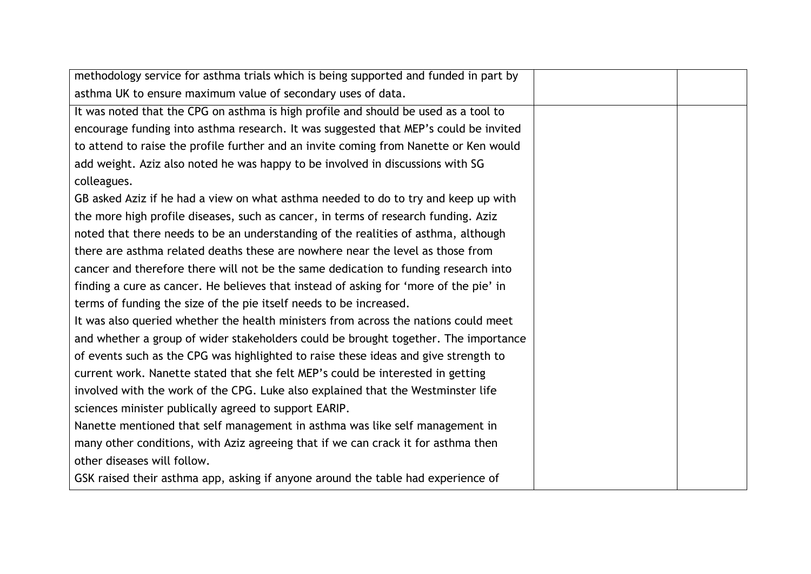| methodology service for asthma trials which is being supported and funded in part by  |  |
|---------------------------------------------------------------------------------------|--|
| asthma UK to ensure maximum value of secondary uses of data.                          |  |
| It was noted that the CPG on asthma is high profile and should be used as a tool to   |  |
| encourage funding into asthma research. It was suggested that MEP's could be invited  |  |
| to attend to raise the profile further and an invite coming from Nanette or Ken would |  |
| add weight. Aziz also noted he was happy to be involved in discussions with SG        |  |
| colleagues.                                                                           |  |
| GB asked Aziz if he had a view on what asthma needed to do to try and keep up with    |  |
| the more high profile diseases, such as cancer, in terms of research funding. Aziz    |  |
| noted that there needs to be an understanding of the realities of asthma, although    |  |
| there are asthma related deaths these are nowhere near the level as those from        |  |
| cancer and therefore there will not be the same dedication to funding research into   |  |
| finding a cure as cancer. He believes that instead of asking for 'more of the pie' in |  |
| terms of funding the size of the pie itself needs to be increased.                    |  |
| It was also queried whether the health ministers from across the nations could meet   |  |
| and whether a group of wider stakeholders could be brought together. The importance   |  |
| of events such as the CPG was highlighted to raise these ideas and give strength to   |  |
| current work. Nanette stated that she felt MEP's could be interested in getting       |  |
| involved with the work of the CPG. Luke also explained that the Westminster life      |  |
| sciences minister publically agreed to support EARIP.                                 |  |
| Nanette mentioned that self management in asthma was like self management in          |  |
| many other conditions, with Aziz agreeing that if we can crack it for asthma then     |  |
| other diseases will follow.                                                           |  |
| GSK raised their asthma app, asking if anyone around the table had experience of      |  |